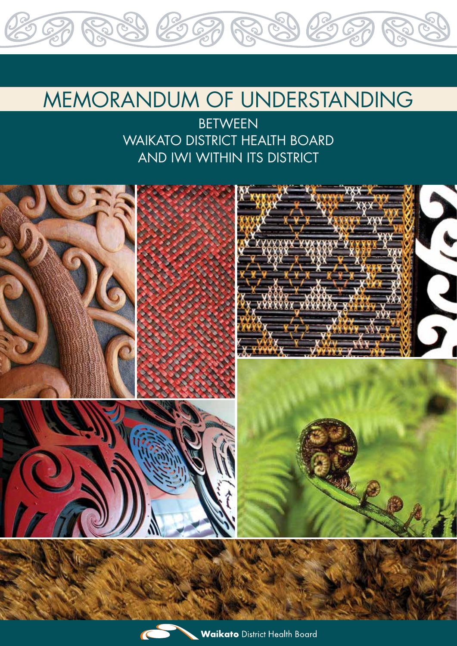# MEMORANDUM OF UNDERSTANDING

289 262 6289 262

**BETWEEN** WAIKATO DISTRICT HEALTH BOARD AND IWI WITHIN ITS DISTRICT

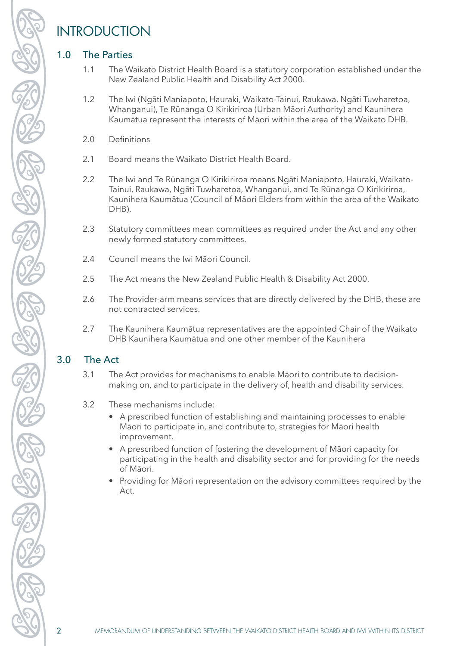# INTRODUCTION

### 1.0 The Parties

- 1.1 The Waikato District Health Board is a statutory corporation established under the New Zealand Public Health and Disability Act 2000.
- 1.2 The Iwi (Ngāti Maniapoto, Hauraki, Waikato-Tainui, Raukawa, Ngāti Tuwharetoa, Whanganui), Te Rūnanga O Kirikiriroa (Urban Māori Authority) and Kaunihera Kaumātua represent the interests of Māori within the area of the Waikato DHB.
- 2.0 Definitions
- 2.1 Board means the Waikato District Health Board.
- 2.2 The Iwi and Te Rūnanga O Kirikiriroa means Ngāti Maniapoto, Hauraki, Waikato-Tainui, Raukawa, Ngāti Tuwharetoa, Whanganui, and Te Rūnanga O Kirikiriroa, Kaunihera Kaumātua (Council of Māori Elders from within the area of the Waikato DHB).
- 2.3 Statutory committees mean committees as required under the Act and any other newly formed statutory committees.
- 2.4 Council means the Iwi Māori Council.
- 2.5 The Act means the New Zealand Public Health & Disability Act 2000.
- 2.6 The Provider-arm means services that are directly delivered by the DHB, these are not contracted services.
- 2.7 The Kaunihera Kaumātua representatives are the appointed Chair of the Waikato DHB Kaunihera Kaumātua and one other member of the Kaunihera

## 3.0 The Act

- 3.1 The Act provides for mechanisms to enable Māori to contribute to decisionmaking on, and to participate in the delivery of, health and disability services.
- 3.2 These mechanisms include:
	- A prescribed function of establishing and maintaining processes to enable Māori to participate in, and contribute to, strategies for Māori health improvement.
	- A prescribed function of fostering the development of Māori capacity for participating in the health and disability sector and for providing for the needs of Māori.
	- Providing for Māori representation on the advisory committees required by the Act.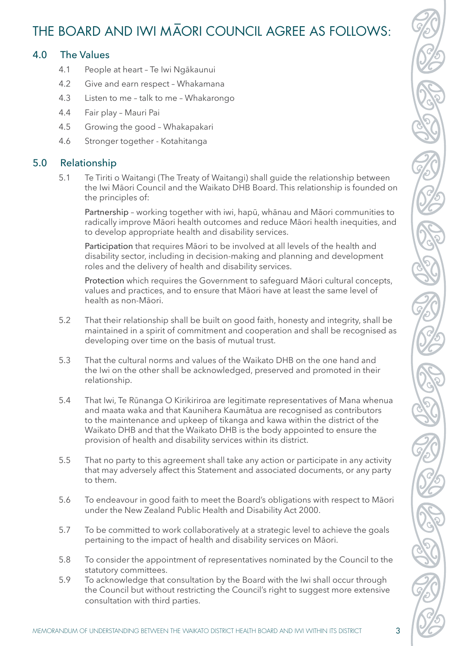# THE BOARD AND IWI MAORI COUNCIL AGREE AS FOLLOWS:

#### 4.0 The Values

- 4.1 People at heart Te Iwi Ngākaunui
- 4.2 Give and earn respect Whakamana
- 4.3 Listen to me talk to me Whakarongo
- 4.4 Fair play Mauri Pai
- 4.5 Growing the good Whakapakari
- 4.6 Stronger together Kotahitanga

#### 5.0 Relationship

5.1 Te Tiriti o Waitangi (The Treaty of Waitangi) shall guide the relationship between the Iwi Māori Council and the Waikato DHB Board. This relationship is founded on the principles of:

Partnership – working together with iwi, hapū, whānau and Māori communities to radically improve Māori health outcomes and reduce Māori health inequities, and to develop appropriate health and disability services.

Participation that requires Māori to be involved at all levels of the health and disability sector, including in decision-making and planning and development roles and the delivery of health and disability services.

Protection which requires the Government to safeguard Māori cultural concepts, values and practices, and to ensure that Māori have at least the same level of health as non-Māori.

- 5.2 That their relationship shall be built on good faith, honesty and integrity, shall be maintained in a spirit of commitment and cooperation and shall be recognised as developing over time on the basis of mutual trust.
- 5.3 That the cultural norms and values of the Waikato DHB on the one hand and the Iwi on the other shall be acknowledged, preserved and promoted in their relationship.
- 5.4 That Iwi, Te Rūnanga O Kirikiriroa are legitimate representatives of Mana whenua and maata waka and that Kaunihera Kaumātua are recognised as contributors to the maintenance and upkeep of tikanga and kawa within the district of the Waikato DHB and that the Waikato DHB is the body appointed to ensure the provision of health and disability services within its district.
- 5.5 That no party to this agreement shall take any action or participate in any activity that may adversely affect this Statement and associated documents, or any party to them.
- 5.6 To endeavour in good faith to meet the Board's obligations with respect to Māori under the New Zealand Public Health and Disability Act 2000.
- 5.7 To be committed to work collaboratively at a strategic level to achieve the goals pertaining to the impact of health and disability services on Māori.
- 5.8 To consider the appointment of representatives nominated by the Council to the statutory committees.
- 5.9 To acknowledge that consultation by the Board with the Iwi shall occur through the Council but without restricting the Council's right to suggest more extensive consultation with third parties.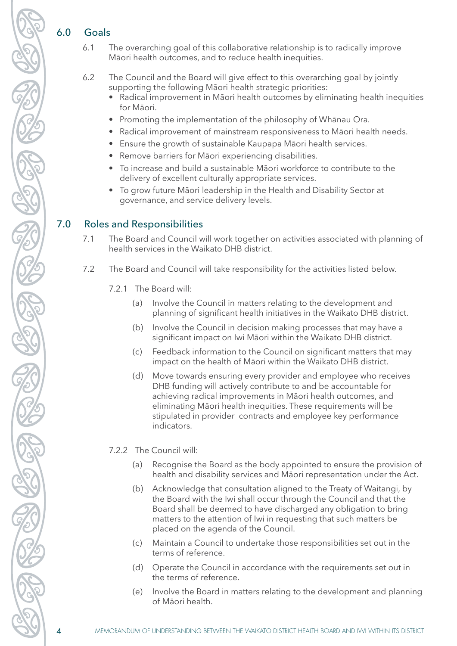#### 6.0 Goals

6.1 The overarching goal of this collaborative relationship is to radically improve Māori health outcomes, and to reduce health inequities.

6.2 The Council and the Board will give effect to this overarching goal by jointly supporting the following Māori health strategic priorities:

- Radical improvement in Māori health outcomes by eliminating health inequities for Māori.
- Promoting the implementation of the philosophy of Whānau Ora.
- • Radical improvement of mainstream responsiveness to Māori health needs.
- Ensure the growth of sustainable Kaupapa Māori health services.
- Remove barriers for Māori experiencing disabilities.
- To increase and build a sustainable Māori workforce to contribute to the delivery of excellent culturally appropriate services.
- To grow future Māori leadership in the Health and Disability Sector at governance, and service delivery levels.

#### 7.0 Roles and Responsibilities

- 7.1 The Board and Council will work together on activities associated with planning of health services in the Waikato DHB district.
- 7.2 The Board and Council will take responsibility for the activities listed below.
	- 7.2.1 The Board will:
		- (a) Involve the Council in matters relating to the development and planning of significant health initiatives in the Waikato DHB district.
		- (b) Involve the Council in decision making processes that may have a significant impact on Iwi Māori within the Waikato DHB district.
		- (c) Feedback information to the Council on significant matters that may impact on the health of Māori within the Waikato DHB district.
		- (d) Move towards ensuring every provider and employee who receives DHB funding will actively contribute to and be accountable for achieving radical improvements in Māori health outcomes, and eliminating Māori health inequities. These requirements will be stipulated in provider contracts and employee key performance indicators.

7.2.2 The Council will:

- (a) Recognise the Board as the body appointed to ensure the provision of health and disability services and Māori representation under the Act.
- (b) Acknowledge that consultation aligned to the Treaty of Waitangi, by the Board with the Iwi shall occur through the Council and that the Board shall be deemed to have discharged any obligation to bring matters to the attention of Iwi in requesting that such matters be placed on the agenda of the Council.
- (c) Maintain a Council to undertake those responsibilities set out in the terms of reference.
- (d) Operate the Council in accordance with the requirements set out in the terms of reference.
- (e) Involve the Board in matters relating to the development and planning of Māori health.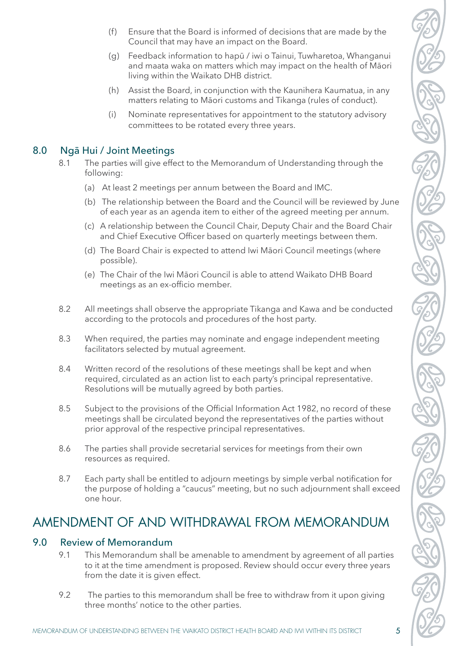- (f) Ensure that the Board is informed of decisions that are made by the Council that may have an impact on the Board.
- (g) Feedback information to hapū / iwi o Tainui, Tuwharetoa, Whanganui and maata waka on matters which may impact on the health of Māori living within the Waikato DHB district.
- (h) Assist the Board, in conjunction with the Kaunihera Kaumatua, in any matters relating to Māori customs and Tikanga (rules of conduct).
- (i) Nominate representatives for appointment to the statutory advisory committees to be rotated every three years.

#### 8.0 Ngā Hui / Joint Meetings

- 8.1 The parties will give effect to the Memorandum of Understanding through the following:
	- (a) At least 2 meetings per annum between the Board and IMC.
	- (b) The relationship between the Board and the Council will be reviewed by June of each year as an agenda item to either of the agreed meeting per annum.
	- (c) A relationship between the Council Chair, Deputy Chair and the Board Chair and Chief Executive Officer based on quarterly meetings between them.
	- (d) The Board Chair is expected to attend Iwi Māori Council meetings (where possible).
	- (e) The Chair of the Iwi Māori Council is able to attend Waikato DHB Board meetings as an ex-officio member.
- 8.2 All meetings shall observe the appropriate Tikanga and Kawa and be conducted according to the protocols and procedures of the host party.
- 8.3 When required, the parties may nominate and engage independent meeting facilitators selected by mutual agreement.
- 8.4 Written record of the resolutions of these meetings shall be kept and when required, circulated as an action list to each party's principal representative. Resolutions will be mutually agreed by both parties.
- 8.5 Subject to the provisions of the Official Information Act 1982, no record of these meetings shall be circulated beyond the representatives of the parties without prior approval of the respective principal representatives.
- 8.6 The parties shall provide secretarial services for meetings from their own resources as required.
- 8.7 Each party shall be entitled to adjourn meetings by simple verbal notification for the purpose of holding a "caucus" meeting, but no such adjournment shall exceed one hour.

# AMENDMENT OF AND WITHDRAWAL FROM MEMORANDUM

#### 9.0 Review of Memorandum

- 9.1 This Memorandum shall be amenable to amendment by agreement of all parties to it at the time amendment is proposed. Review should occur every three years from the date it is given effect.
- 9.2 The parties to this memorandum shall be free to withdraw from it upon giving three months' notice to the other parties.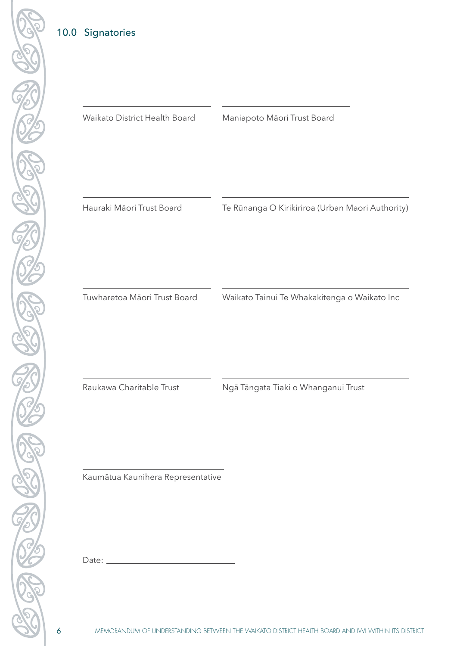## 10.0 Signatories

 $\overline{a}$ Waikato District Health Board Maniapoto Māori Trust Board

Hauraki Māori Trust Board

Te Rūnanga O Kirikiriroa (Urban Maori Authority)

Tuwharetoa Māori Trust Board

Waikato Tainui Te Whakakitenga o Waikato Inc

 $\overline{a}$ 

Raukawa Charitable Trust **Ngā Tāngata Tiaki o Whanganui Trust** 

Kaumātua Kaunihera Representative

Date: \_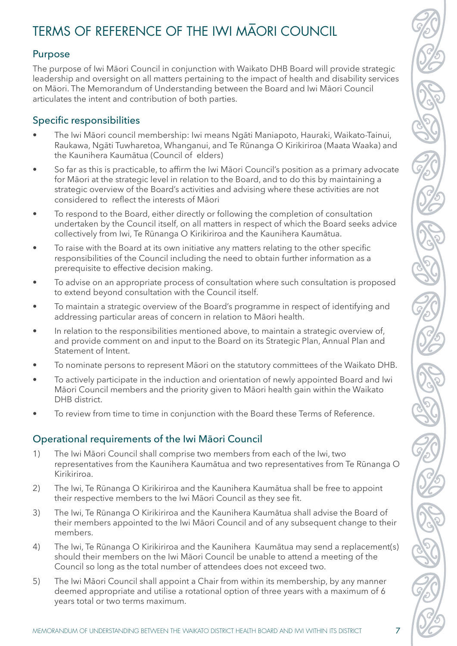# TERMS OF REFERENCE OF THE IWI MAORI COUNCIL

#### Purpose

The purpose of Iwi Māori Council in conjunction with Waikato DHB Board will provide strategic leadership and oversight on all matters pertaining to the impact of health and disability services on Māori. The Memorandum of Understanding between the Board and Iwi Māori Council articulates the intent and contribution of both parties.

### Specific responsibilities

- The Iwi Māori council membership: Iwi means Ngāti Maniapoto, Hauraki, Waikato-Tainui, Raukawa, Ngāti Tuwharetoa, Whanganui, and Te Rūnanga O Kirikiriroa (Maata Waaka) and the Kaunihera Kaumātua (Council of elders)
- So far as this is practicable, to affirm the Iwi Māori Council's position as a primary advocate for Māori at the strategic level in relation to the Board, and to do this by maintaining a strategic overview of the Board's activities and advising where these activities are not considered to reflect the interests of Māori
- To respond to the Board, either directly or following the completion of consultation undertaken by the Council itself, on all matters in respect of which the Board seeks advice collectively from Iwi, Te Rūnanga O Kirikiriroa and the Kaunihera Kaumātua.
- To raise with the Board at its own initiative any matters relating to the other specific responsibilities of the Council including the need to obtain further information as a prerequisite to effective decision making.
- To advise on an appropriate process of consultation where such consultation is proposed to extend beyond consultation with the Council itself.
- To maintain a strategic overview of the Board's programme in respect of identifying and addressing particular areas of concern in relation to Māori health.
- In relation to the responsibilities mentioned above, to maintain a strategic overview of, and provide comment on and input to the Board on its Strategic Plan, Annual Plan and Statement of Intent.
- To nominate persons to represent Māori on the statutory committees of the Waikato DHB.
- To actively participate in the induction and orientation of newly appointed Board and Iwi Māori Council members and the priority given to Māori health gain within the Waikato DHB district.
- To review from time to time in conjunction with the Board these Terms of Reference.

#### Operational requirements of the Iwi Māori Council

- 1) The Iwi Māori Council shall comprise two members from each of the Iwi, two representatives from the Kaunihera Kaumātua and two representatives from Te Rūnanga O Kirikiriroa.
- 2) The Iwi, Te Rūnanga O Kirikiriroa and the Kaunihera Kaumātua shall be free to appoint their respective members to the Iwi Māori Council as they see fit.
- 3) The Iwi, Te Rūnanga O Kirikiriroa and the Kaunihera Kaumātua shall advise the Board of their members appointed to the Iwi Māori Council and of any subsequent change to their members.
- 4) The Iwi, Te Rūnanga O Kirikiriroa and the Kaunihera Kaumātua may send a replacement(s) should their members on the Iwi Māori Council be unable to attend a meeting of the Council so long as the total number of attendees does not exceed two.
- 5) The Iwi Māori Council shall appoint a Chair from within its membership, by any manner deemed appropriate and utilise a rotational option of three years with a maximum of 6 years total or two terms maximum.